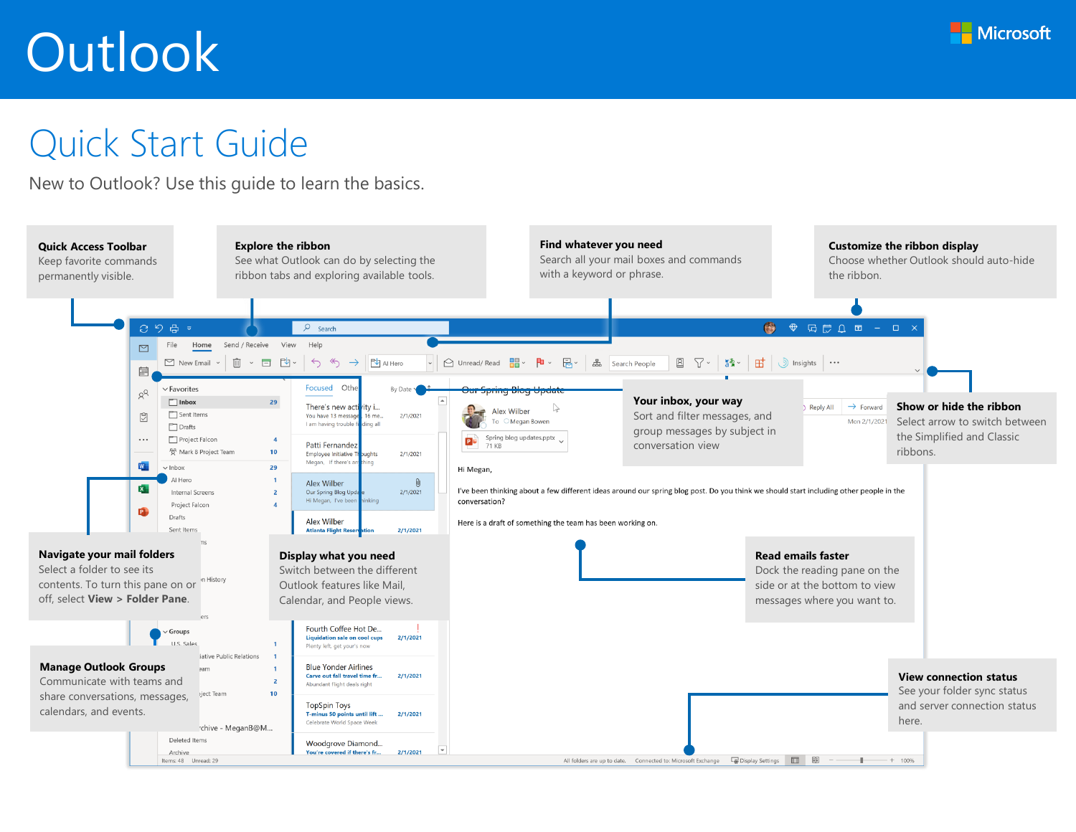

## Quick Start Guide

New to Outlook? Use this guide to learn the basics.

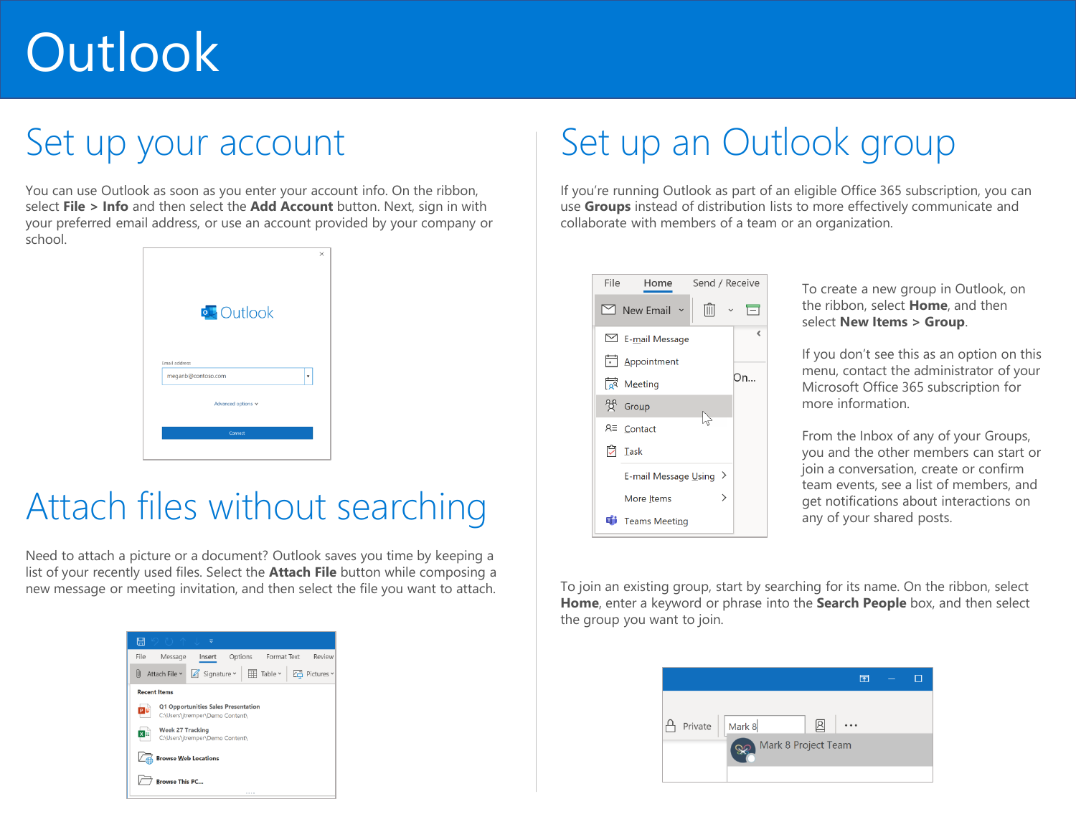### Set up your account

You can use Outlook as soon as you enter your account info. On the ribbon, select **File > Info** and then select the **Add Account** button. Next, sign in with your preferred email address, or use an account provided by your company or school.

| Email address<br>meganb@contoso.com<br>$\check{}$<br>Advanced options v | <b>Q</b> Outlook |  | × |
|-------------------------------------------------------------------------|------------------|--|---|
|                                                                         |                  |  |   |

## Attach files without searching

Need to attach a picture or a document? Outlook saves you time by keeping a list of your recently used files. Select the **Attach File** button while composing a new message or meeting invitation, and then select the file you want to attach.



## Set up an Outlook group

If you're running Outlook as part of an eligible Office 365 subscription, you can use **Groups** instead of distribution lists to more effectively communicate and collaborate with members of a team or an organization.



To create a new group in Outlook, on the ribbon, select **Home**, and then select **New Items > Group**.

If you don't see this as an option on this menu, contact the administrator of your Microsoft Office 365 subscription for more information.

From the Inbox of any of your Groups, you and the other members can start or join a conversation, create or confirm team events, see a list of members, and get notifications about interactions on any of your shared posts.

To join an existing group, start by searching for its name. On the ribbon, select **Home**, enter a keyword or phrase into the **Search People** box, and then select the group you want to join.

| ক                     |                         |  |
|-----------------------|-------------------------|--|
|                       |                         |  |
|                       |                         |  |
|                       |                         |  |
| Private   Mark 8<br>囟 | <br>Mark 8 Project Team |  |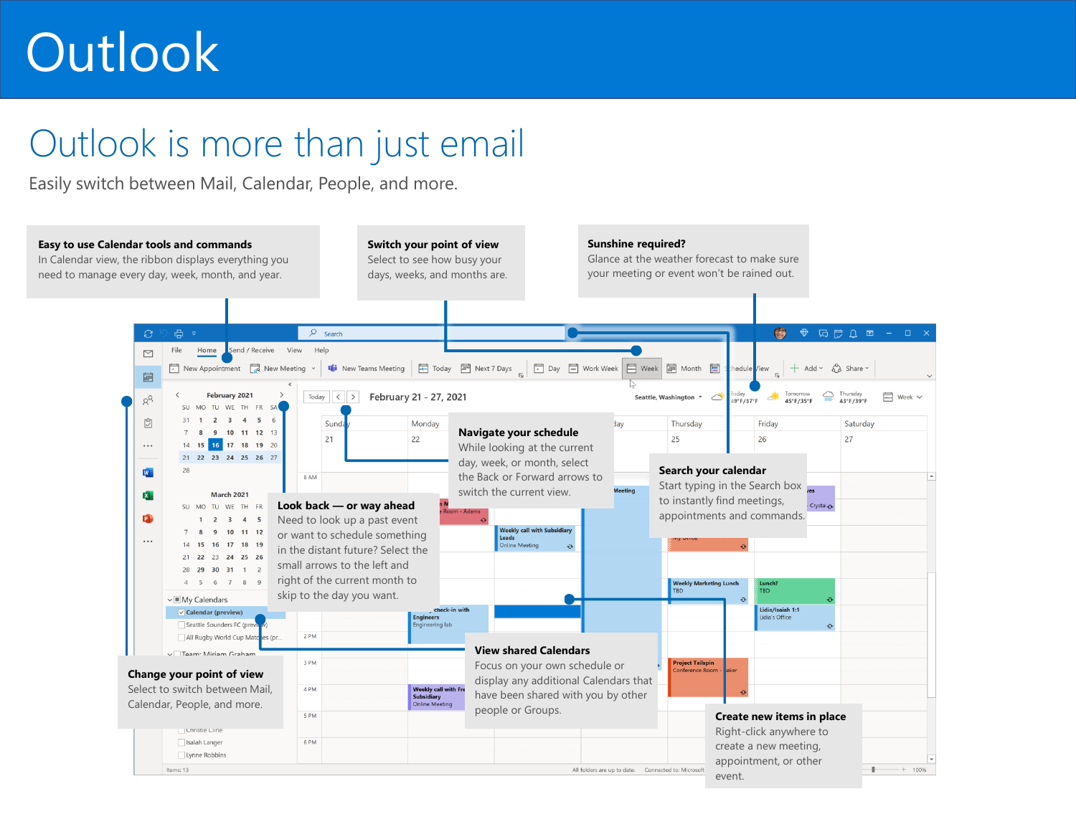## Outlook is more than just email

Easily switch between Mail, Calendar, People, and more.